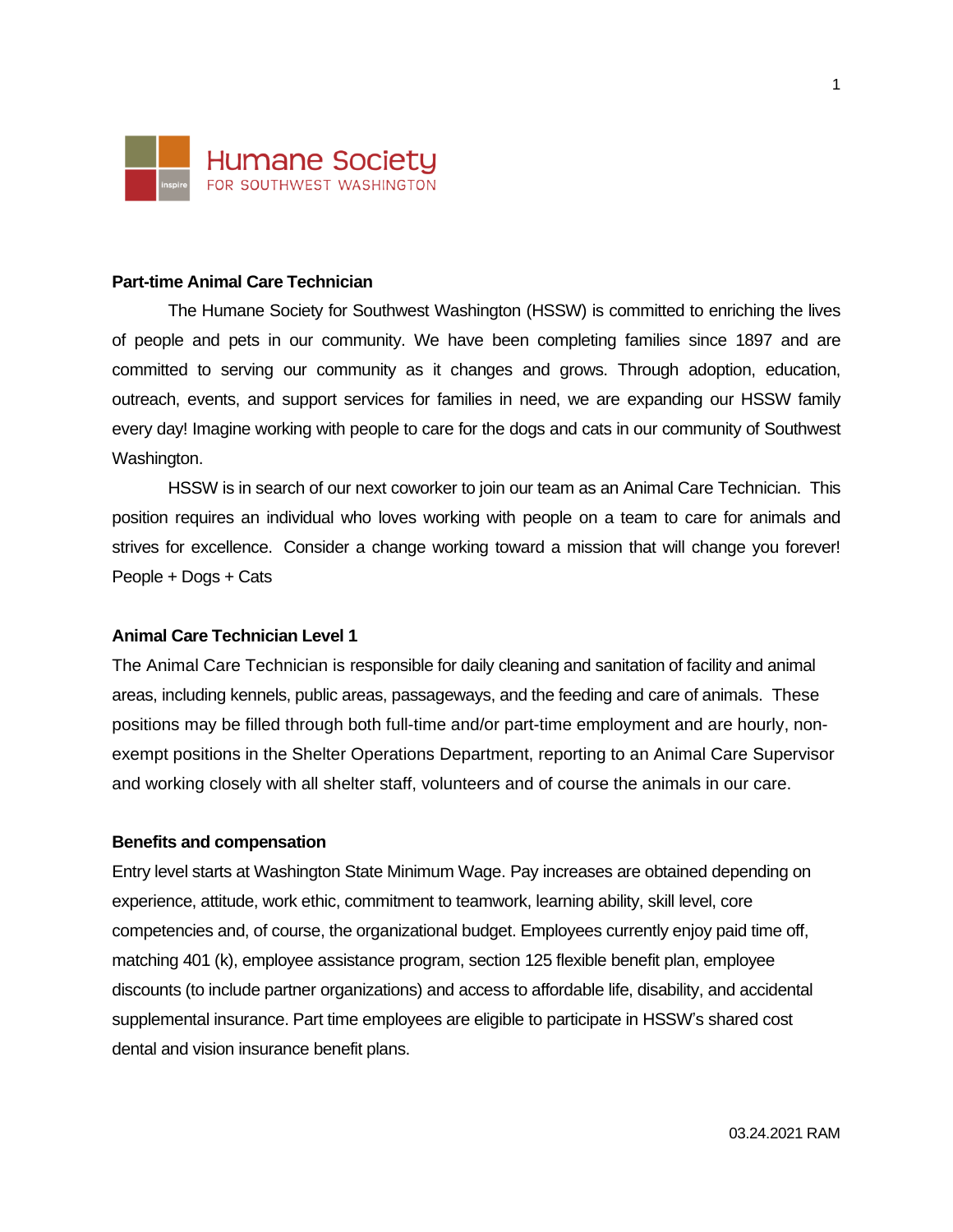

### **Part-time Animal Care Technician**

The Humane Society for Southwest Washington (HSSW) is committed to enriching the lives of people and pets in our community. We have been completing families since 1897 and are committed to serving our community as it changes and grows. Through adoption, education, outreach, events, and support services for families in need, we are expanding our HSSW family every day! Imagine working with people to care for the dogs and cats in our community of Southwest Washington.

HSSW is in search of our next coworker to join our team as an Animal Care Technician. This position requires an individual who loves working with people on a team to care for animals and strives for excellence. Consider a change working toward a mission that will change you forever! People + Dogs + Cats

### **Animal Care Technician Level 1**

The Animal Care Technician is responsible for daily cleaning and sanitation of facility and animal areas, including kennels, public areas, passageways, and the feeding and care of animals. These positions may be filled through both full-time and/or part-time employment and are hourly, nonexempt positions in the Shelter Operations Department, reporting to an Animal Care Supervisor and working closely with all shelter staff, volunteers and of course the animals in our care.

#### **Benefits and compensation**

Entry level starts at Washington State Minimum Wage. Pay increases are obtained depending on experience, attitude, work ethic, commitment to teamwork, learning ability, skill level, core competencies and, of course, the organizational budget. Employees currently enjoy paid time off, matching 401 (k), employee assistance program, section 125 flexible benefit plan, employee discounts (to include partner organizations) and access to affordable life, disability, and accidental supplemental insurance. Part time employees are eligible to participate in HSSW's shared cost dental and vision insurance benefit plans.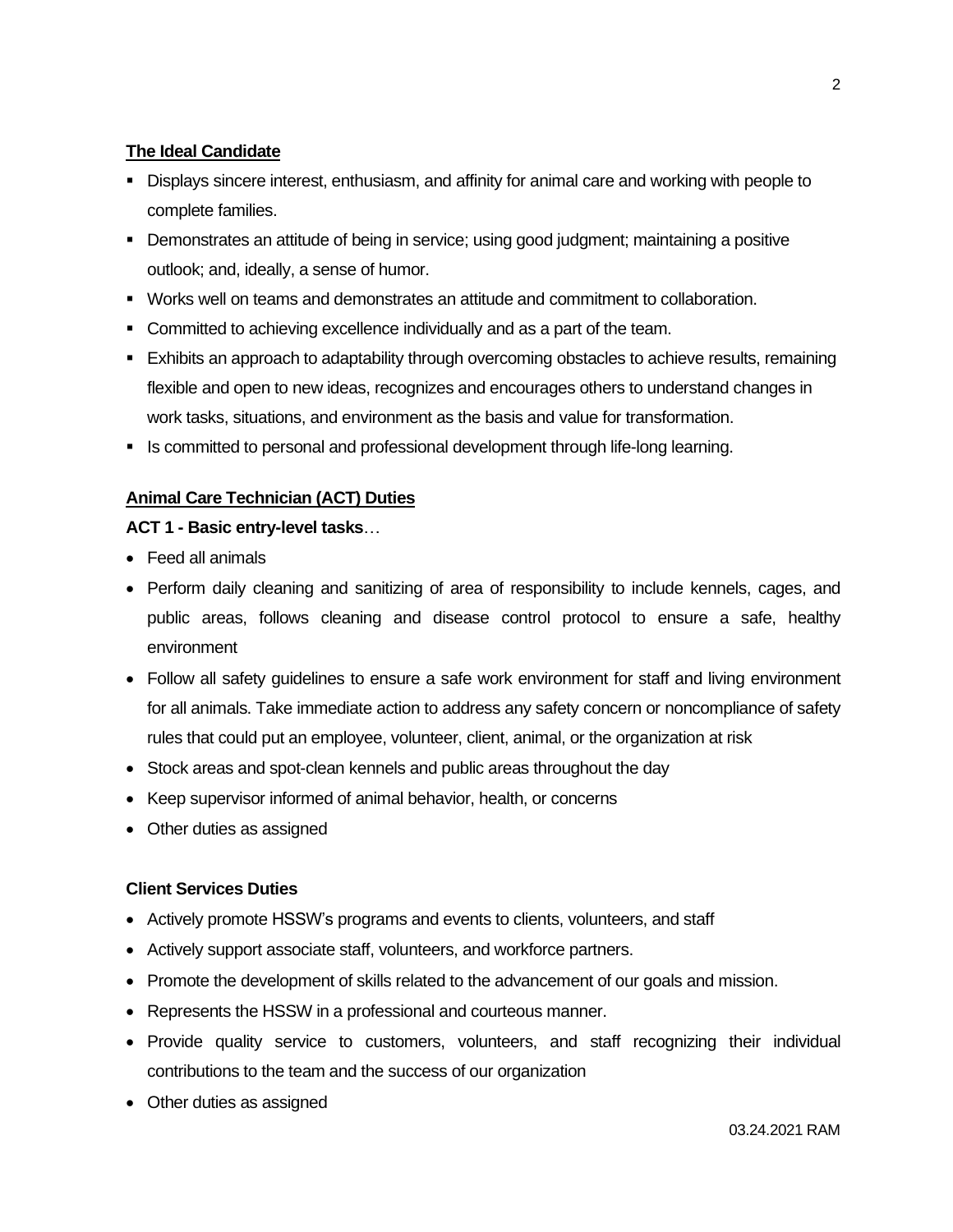# **The Ideal Candidate**

- **Displays sincere interest, enthusiasm, and affinity for animal care and working with people to** complete families.
- Demonstrates an attitude of being in service; using good judgment; maintaining a positive outlook; and, ideally, a sense of humor.
- Works well on teams and demonstrates an attitude and commitment to collaboration.
- Committed to achieving excellence individually and as a part of the team.
- Exhibits an approach to adaptability through overcoming obstacles to achieve results, remaining flexible and open to new ideas, recognizes and encourages others to understand changes in work tasks, situations, and environment as the basis and value for transformation.
- **EXE** Is committed to personal and professional development through life-long learning.

# **Animal Care Technician (ACT) Duties**

## **ACT 1 - Basic entry-level tasks**…

- Feed all animals
- Perform daily cleaning and sanitizing of area of responsibility to include kennels, cages, and public areas, follows cleaning and disease control protocol to ensure a safe, healthy environment
- Follow all safety guidelines to ensure a safe work environment for staff and living environment for all animals. Take immediate action to address any safety concern or noncompliance of safety rules that could put an employee, volunteer, client, animal, or the organization at risk
- Stock areas and spot-clean kennels and public areas throughout the day
- Keep supervisor informed of animal behavior, health, or concerns
- Other duties as assigned

# **Client Services Duties**

- Actively promote HSSW's programs and events to clients, volunteers, and staff
- Actively support associate staff, volunteers, and workforce partners.
- Promote the development of skills related to the advancement of our goals and mission.
- Represents the HSSW in a professional and courteous manner.
- Provide quality service to customers, volunteers, and staff recognizing their individual contributions to the team and the success of our organization
- Other duties as assigned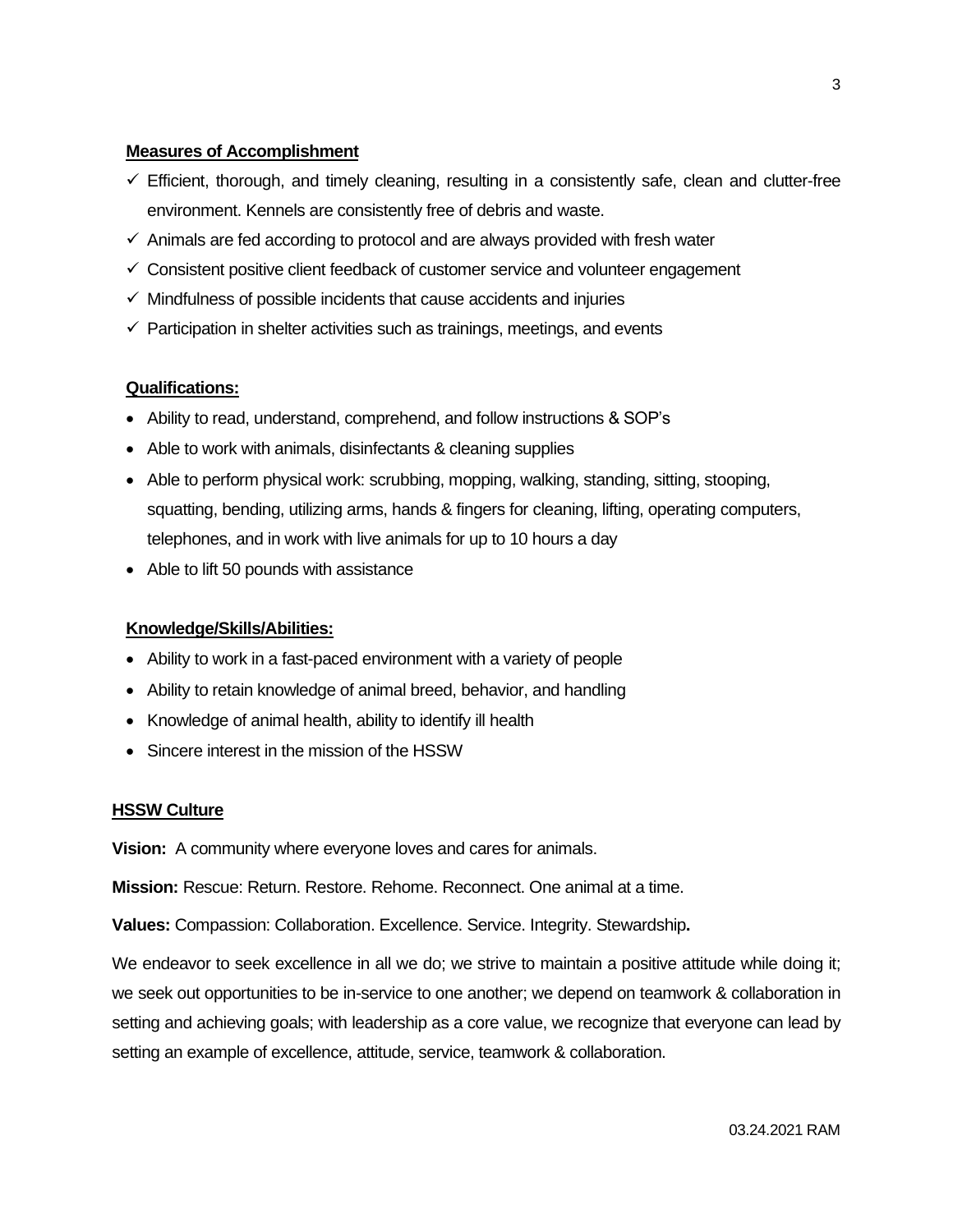### **Measures of Accomplishment**

- $\checkmark$  Efficient, thorough, and timely cleaning, resulting in a consistently safe, clean and clutter-free environment. Kennels are consistently free of debris and waste.
- $\checkmark$  Animals are fed according to protocol and are always provided with fresh water
- ✓ Consistent positive client feedback of customer service and volunteer engagement
- $\checkmark$  Mindfulness of possible incidents that cause accidents and injuries
- $\checkmark$  Participation in shelter activities such as trainings, meetings, and events

## **Qualifications:**

- Ability to read, understand, comprehend, and follow instructions & SOP's
- Able to work with animals, disinfectants & cleaning supplies
- Able to perform physical work: scrubbing, mopping, walking, standing, sitting, stooping, squatting, bending, utilizing arms, hands & fingers for cleaning, lifting, operating computers, telephones, and in work with live animals for up to 10 hours a day
- Able to lift 50 pounds with assistance

### **Knowledge/Skills/Abilities:**

- Ability to work in a fast-paced environment with a variety of people
- Ability to retain knowledge of animal breed, behavior, and handling
- Knowledge of animal health, ability to identify ill health
- Sincere interest in the mission of the HSSW

#### **HSSW Culture**

**Vision:** A community where everyone loves and cares for animals.

**Mission:** Rescue: Return. Restore. Rehome. Reconnect. One animal at a time.

**Values:** Compassion: Collaboration. Excellence. Service. Integrity. Stewardship**.**

We endeavor to seek excellence in all we do; we strive to maintain a positive attitude while doing it; we seek out opportunities to be in-service to one another; we depend on teamwork & collaboration in setting and achieving goals; with leadership as a core value, we recognize that everyone can lead by setting an example of excellence, attitude, service, teamwork & collaboration.